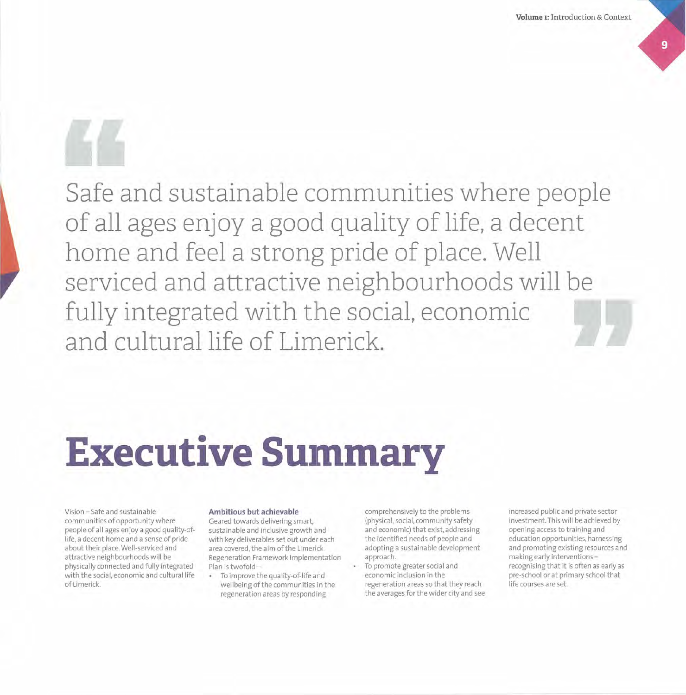**Safe and sustainable communities where people**  of all ages enjoy a good quality of life, a decent **home and feel a strong pride of place. Well**  serviced and attractive neighbourhoods will be fully integrated with the social, economic **and** cultural life **of Limerick.** 

# **Executive Summary**

Vision - Safe and sustainable communities of opportunity where people of all ages enjoy a good quality-oflife, a decent home and a sense of pride about their place. Well-serviced and attractive neighbourhoods will be physically connected and fully integrated with the social, economic and cultural life of Limerick.

#### **Ambitious but achievable**

Geared towards delivering smart, sustainable and inclusive growth and with key deliverables set out under each area covered, the aim of the Limerick Regeneration Framework Implementation Plan is twofold-

To improve the quality-of-life and wellbeing of the communities in the regeneration areas by responding

comprehensively to the problems (physical, social, community safety and economic) that exist, addressing the identified needs of people and adopting a sustainable development approach.

To promote greater social and economic inclusion in the regeneration areas so that they reach the averages for the wider city and see increased public and private sector investment. This will be achieved by opening access to training and education opportunities, harnessing and promoting existing resources and making early interventions recognising that it is often as early as pre-school or at primary school that life courses are set.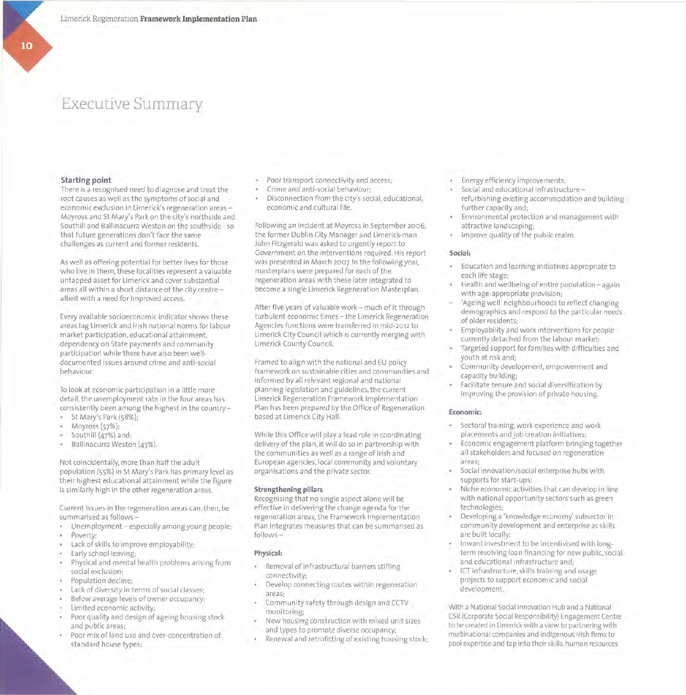## **Executive Summary**

#### **Starting point**

There is a recognised need to diagnose and treat the root causes as well as the symptoms of social and economic exclusion in Limerick's regeneration areas-Moyross and St Mary's Park on the city's northside and Southill and Ballinacurra Weston on the southside - so that future generations don't face the same challenges as current and former residents.

As well as offering potential for better lives for those who live in them, these localities represent a valuable untapped asset for Limerick and cover substantial areas all within a short distance of the city centrealbeit with a need for improved access.

Every available socioeconomic indicator shows these areas lag Limerick and Irish national norms for labour market participation, educational attainment, dependency on State payments and community participation while there have also been welldocumented issues around crime and anti-social behaviour.

To look at economic participation in a little more detail, the unemployment rate in the four areas has consistently been among the highest in the country-

- St Mary's Park (58%);
- Moyross (57%);
- Southill (47%) and;
- Ballinacurra Weston (43%).

Not COincidentally, more than half the adult population (55%) in St Mary's Park has primary level as their highest educational attainment while the figure is similarly high in the other regeneration areas.

Current issues in the regeneration areas can, then, be summarised as follows-

- Unemployment especially among young people;
- Poverty;
- ¥ Lack of skills to improve employability;
- Early school leaving;
- Physical and mental health problems arising from social exclusion;
- Population decline;
- Lack of diversity in terms of social classes;
- Below average levels of owner occupancy;
- Limited economic activity;
- Poor quality and design of ageing housing stock and public areas;
- Poor mix of land use and over-concentration of standard house types;
- Poor transport connectivity and access;
- Crime and anti-social behaviour;
- Disconnection from the city's social, educational,  $\alpha$ economic and cultural life.

Following an incident at Moyross in September 2006, the former Dublin City Manager and Limerick-man John Fitzgerald was asked to urgently report to Government on the interventions required. His report was presented in March 2007. In the following year, masterplans were prepared for each of the regeneration areas with these later integrated to become a single Limerick Regeneration Masterplan.

After five years of valuable work - much of it through turbulent economic times - the Limerick Regeneration Agencies functions were transferred in mid-2012 to Limerick City Council which is currently merging with Limerick County Council.

Framed to align with the national and EU policy framework on sustainable cities and communities and informed by all relevant regional and national planning legislation and guidelines, the current Limerick Regeneration Framework Implementation Plan has been prepared by the Office of Regeneration based at Limerick City Hall.

While this Office will playa lead role in coordinating delivery of the plan, it will do so in partnership with the communities as well as a range of Irish and European agencies, local community and voluntary organisations and the private sector.

### **Strengthening pillars**

Recognising that no single aspect alone will be effective in delivering the change agenda for the regeneration areas, the Framework Implementation Plan integrates measures that can be summarised as follows-

#### **Physical:**

- Removal of infrastructural barriers stifling con nectivity;
- Develop connecting routes within regeneration areas;
- Community safety through design and CCTV monitoring;
- New housing construction with mixed unit sizes and types to promote diverse occupancy;
- Renewal and retrofitting of existing housing stock;
- Energy efficiency improvements;
- Social and educational infrastructurerefurbishing existing accommodation and building further capacity and;
- Environmental protection and management with attractive landscaping;
- Improve quality of the public realm.

#### **Social:**

- Education and learning initiatives appropriate to each life stage;
- Health and wellbeing of entire population again with age-appropriate provision;
- 'Ageing well' neighbourhoods to reflect changing demographics and respond to the particular needs of older residents;
- Employability and work interventions for people currently detached from the labour market;
- Targeted support for families with difficulties and youth at risk and;
- Community development, empowerment and capacity building;
- Facilitate tenure and social diversification by improving the provision of private housing.

#### **Economic:**

- Sectoral training, work experience and work placements and job creation initiatives;
- Economic engagement platform bringing together all stakeholders and focused on regeneration areas;
- Social innovation/social enterprise hubs with supports for start-ups;
- Niche economic activities that can develop in line with national opportunity sectors such as green technologies;
- Developing a 'knowledge economy' subsector in community development and enterprise as skills are built locally;
- Inward investment to be incentivised with longterm revolving loan financing for new public, social and educational infrastructure and;
- ICT infrastructure, skills training and usage projects to support economic and social development.

With a National Social Innovation Hub and a National CSR (Corporate Social Responsibility) Engagement Centre to be created in Limerick with a view to partnering with multinational companies and indigenous Irish firms to pool expertise and tap into their skills, human resources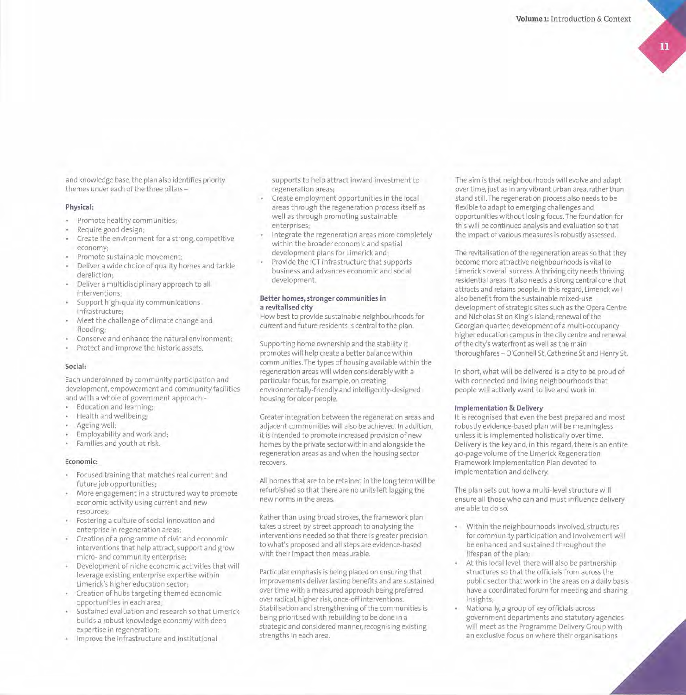and knowledge base, the plan also identifies priority themes under each of the three pillars -

#### **Physical:**

- Promote healthy communities;
- Require good design;
- Create the environment for a strong, competitive economy;
- Promote sustainable movement;
- Deliver a wide choice of quality homes and tackle dereliction;
- Deliver a multidisciplinary approach to all interventions;
- Support high-quality communications infrastructure;
- Meet the challenge of climate change and flooding;
- Conserve and enhance the natural environment;
- Protect and improve the historic assets.

#### **Social:**

Each underpinned by community participation and development, empowerment and community facilities and with a whole of government approach -

- Education and learning;
- Health and wellbeing;
- Ageing well;
- Employability and work and;
- Families and youth at risk.

#### **Economic:**

- Focused training that matches real current and future job opportunities;
- More engagement in a structured way to promote economic activity using current and new resources;
- Fostering a culture of social innovation and enterprise in regeneration areas;
- Creation of a programme of civic and economic interventions that help attract, support and grow micro- and community enterprise;
- Development of niche economic activities that will leverage existing enterprise expertise within Limerick's higher education sector;
- Creation of hubs targeting themed economic opportunities in each area;
- Sustained evaluation and research so that Limerick builds a robust knowledge economy with deep expertise in regeneration;
- Improve the infrastructure and institutional

supports to help attract inward investment to regeneration areas;

- Create employment opportunities in the local areas through the regeneration process itself as well as through promoting sustainable enterprises;
- Integrate the regeneration areas more completely within the broader economic and spatial development plans for Limerick and;
- Provide the ICT infrastructure that supports business and advances economic and social development.

#### **Better homes, stronger communities in a revitalised city**

How best to provide sustainable neighbourhoods for current and future residents is central to the plan.

Supporting home ownership and the stability it promotes will help create a better balance within communities.The types of housing available within the regeneration areas will widen considerably with a particular focus, for example, on creating environmentally-friendly and intelligently-designed housing for older people.

Greater integration between the regeneration areas and adjacent communities will also be achieved. In addition, it is intended to promote increased provision of new homes by the private sector within and alongside the regeneration areas as and when the housing sector recovers.

All homes that are to be retained in the long term will be refurbished so that there are no units left lagging the new norms in the areas.

Rather than using broad strokes, the framework plan takes a street-by-street approach to analysing the interventions needed so that there is greater precision to what's proposed and all steps are evidence-based with their impact then measurable.

Particular emphasis is being placed on ensuring that improvements deliver lasting benefits and are sustained over time with a measured approach being preferred over radical, higher risk, once-off interventions. Stabilisation and strengthening of the communities is being prioritised with rebuilding to be done in a strategic and considered manner, recognising existing strengths in each area.

The aim is that neighbourhoods will evolve and adapt over time, just as in any vibrant urban area, rather than stand still. The regeneration process also needs to be flexible to adapt to emerging challenges and opportunities without losing focus. The foundation for this will be continued analysis and evaluation so that the impact of various measures is robustly assessed.

The revitalisation of the regeneration areas so that they become more attractive neighbourhoods is vital to Limerick's overall success. A thriving city needs thriving residential areas. It also needs a strong central core that attracts and retains people. In this regard, Limerick will also benefit from the sustainable mixed-use development of strategic sites such as the Opera Centre and Nicholas St on King's Island; renewal of the Georgian quarter; development of a multi-occupancy higher education campus in the city centre and renewal ofthe city's waterfront as well as the main thoroughfares - O'Connell St, Catherine St and Henry St.

In short, what will be delivered is a city to be proud of with connected and living neighbourhoods that people will actively want to live and work in.

#### **Implementation & Delivery**

It is recognised that even the best prepared and most robustly evidence-based plan will be meaningless unless it is implemented holistically over time. Delivery is the key and, in this regard, there is an entire 4o-page volume of the Limerick Regeneration Framework Implementation Plan devoted to implementation and delivery.

The plan sets out how a multi-level structure will ensure all those who can and must influence delivery are able to do so.

- Within the neighbourhoods involved, structures for community participation and involvement will be enhanced and sustained throughout the lifespan of the plan;
- At this local level, there will also be partnership structures so that the officials from across the public sector that work in the areas on a daily basis have a coordinated forum for meeting and sharing insights;
- Nationally, a group of key officials across government departments and statutory agencies will meet as the Programme Delivery Group with an exclusive focus on where their organisations

 $\mathbf{u}$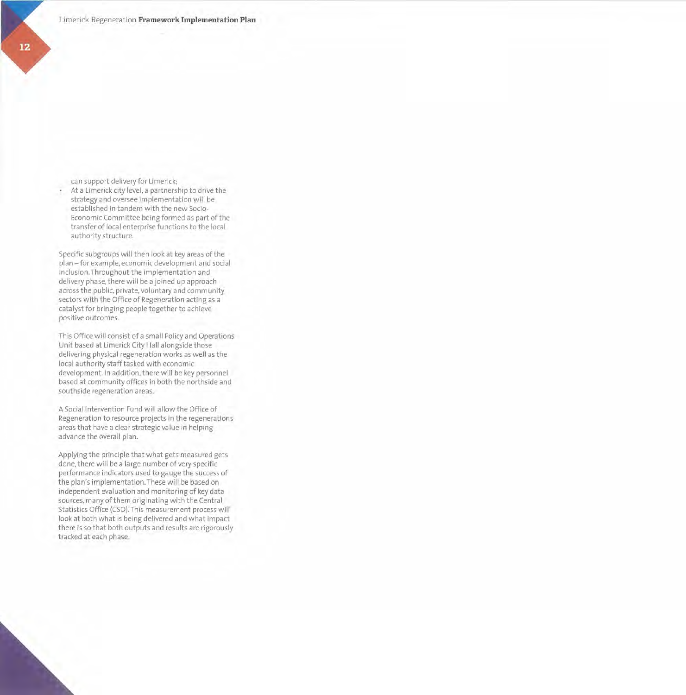can support delivery for Limerick;

At a Limerick city level, a partnership to drive the strategy and oversee implementation will be established in tandem with the new Socio-Economic Committee being formed as part of the transfer of local enterprise functions to the local authority structure.

Specific subgroups will then look at key areas of the plan -for example, economic development and social inclusion. Throughout the implementation and delivery phase, there will be a joined up approach across the public, private, voluntary and community sectors with the Office of Regeneration acting as a catalyst for bringing people together to achieve positive outcomes.

This Office will consist of a small Policy and Operations Unit based at Limerick City Hall alongside those delivering physical regeneration works as well as the local authority staff tasked with economic development. In addition, there will be key personnel based at community offices in both the northside and southside regeneration areas.

A Social Intervention Fund will allow the Office of Regeneration to resource projects in the regenerations areas that have a clear strategic value in helping advance the overall plan.

Applying the principle that what gets measured gets done, there will be a large number of very specific performance indicators used to gauge the success of the plan's implementation. These will be based on independent evaluation and monitoring of key data sources, many of them originating with the Central Statistics Office (CSO). This measurement process will look at both what is being delivered and what impact there is so that both outputs and results are rigorously tracked at each phase.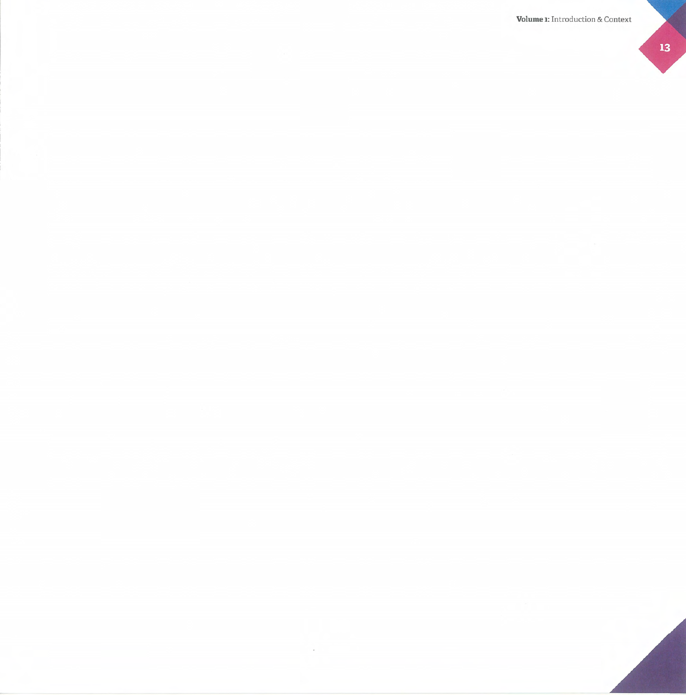

 $\cdot$